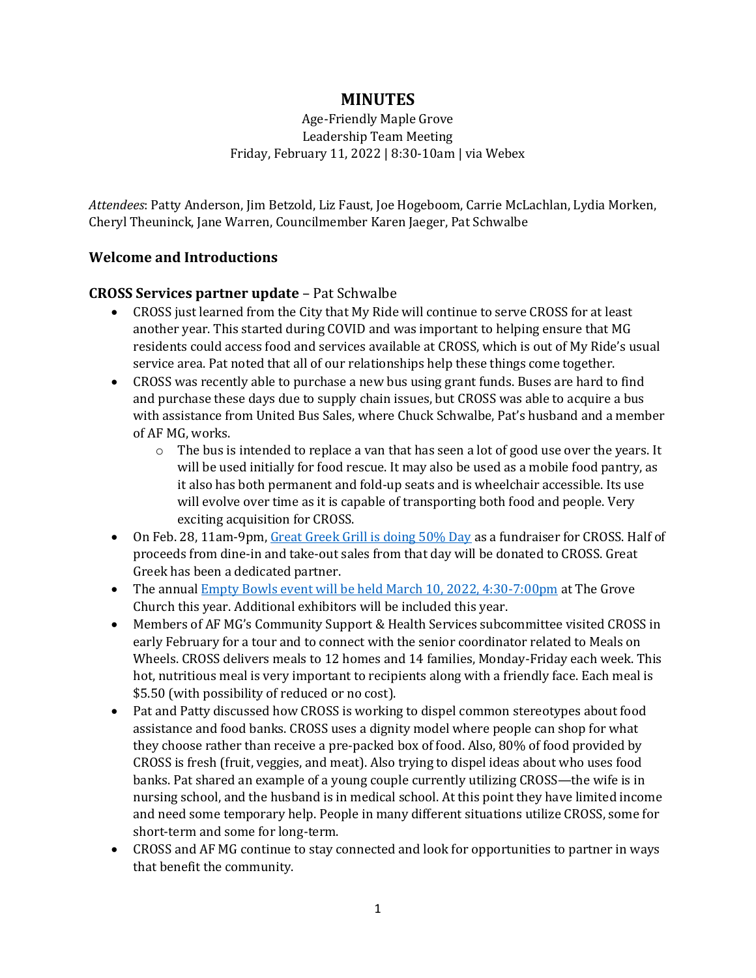# **MINUTES**

Age-Friendly Maple Grove Leadership Team Meeting Friday, February 11, 2022 | 8:30-10am | via Webex

*Attendees*: Patty Anderson, Jim Betzold, Liz Faust, Joe Hogeboom, Carrie McLachlan, Lydia Morken, Cheryl Theuninck, Jane Warren, Councilmember Karen Jaeger, Pat Schwalbe

## **Welcome and Introductions**

## **CROSS Services partner update** – Pat Schwalbe

- CROSS just learned from the City that My Ride will continue to serve CROSS for at least another year. This started during COVID and was important to helping ensure that MG residents could access food and services available at CROSS, which is out of My Ride's usual service area. Pat noted that all of our relationships help these things come together.
- CROSS was recently able to purchase a new bus using grant funds. Buses are hard to find and purchase these days due to supply chain issues, but CROSS was able to acquire a bus with assistance from United Bus Sales, where Chuck Schwalbe, Pat's husband and a member of AF MG, works.
	- $\circ$  The bus is intended to replace a van that has seen a lot of good use over the years. It will be used initially for food rescue. It may also be used as a mobile food pantry, as it also has both permanent and fold-up seats and is wheelchair accessible. Its use will evolve over time as it is capable of transporting both food and people. Very exciting acquisition for CROSS.
- On Feb. 28, 11am-9pm, [Great Greek Grill is doing 50% Day](https://crossservices.org/event/50-day-at-the-great-greek-mediterranean-grill/) as a fundraiser for CROSS. Half of proceeds from dine-in and take-out sales from that day will be donated to CROSS. Great Greek has been a dedicated partner.
- The annual [Empty Bowls event will be held March 10, 2022, 4:30-7:00pm](https://crossservices.org/2022/01/29/emptybowls-march102022/) at The Grove Church this year. Additional exhibitors will be included this year.
- Members of AF MG's Community Support & Health Services subcommittee visited CROSS in early February for a tour and to connect with the senior coordinator related to Meals on Wheels. CROSS delivers meals to 12 homes and 14 families, Monday-Friday each week. This hot, nutritious meal is very important to recipients along with a friendly face. Each meal is \$5.50 (with possibility of reduced or no cost).
- Pat and Patty discussed how CROSS is working to dispel common stereotypes about food assistance and food banks. CROSS uses a dignity model where people can shop for what they choose rather than receive a pre-packed box of food. Also, 80% of food provided by CROSS is fresh (fruit, veggies, and meat). Also trying to dispel ideas about who uses food banks. Pat shared an example of a young couple currently utilizing CROSS—the wife is in nursing school, and the husband is in medical school. At this point they have limited income and need some temporary help. People in many different situations utilize CROSS, some for short-term and some for long-term.
- CROSS and AF MG continue to stay connected and look for opportunities to partner in ways that benefit the community.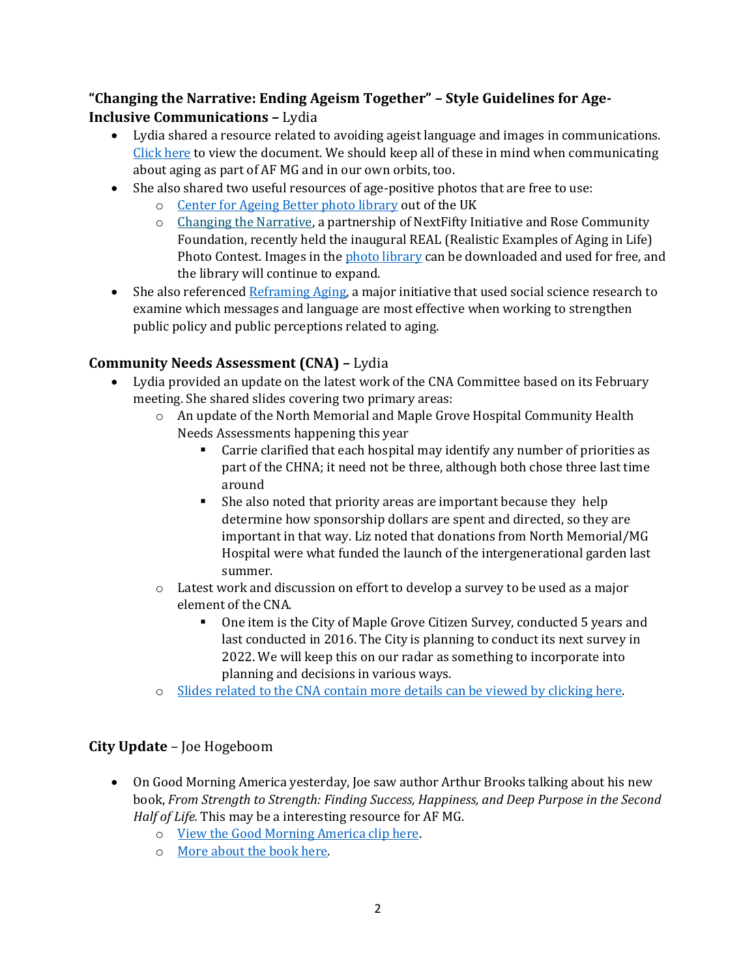# **"Changing the Narrative: Ending Ageism Together" – Style Guidelines for Age-Inclusive Communications –** Lydia

- Lydia shared a resource related to avoiding ageist language and images in communications. [Click here](https://changingthenarrativeco.org/wp-content/uploads/2022/01/Guidelines-for-Age-Inclusive-Communications_ChangingtheNarrative-1.pdf) to view the document. We should keep all of these in mind when communicating about aging as part of AF MG and in our own orbits, too.
- She also shared two useful resources of age-positive photos that are free to use:
	- o [Center for Ageing Better photo library](https://ageingbetter.resourcespace.com/pages/home.php) out of the UK
	- o Changing the [Narrative,](https://changingthenarrativeco.org/) a partnership of NextFifty Initiative and Rose Community Foundation, recently held the inaugural REAL (Realistic Examples of Aging in Life) Photo Contest. Images in the [photo library](https://www.next50initiative.org/photorep) can be downloaded and used for free, and the library will continue to expand.
- She also referenced [Reframing Aging,](https://www.reframingaging.org/) a major initiative that used social science research to examine which messages and language are most effective when working to strengthen public policy and public perceptions related to aging.

## **Community Needs Assessment (CNA) –** Lydia

- Lydia provided an update on the latest work of the CNA Committee based on its February meeting. She shared slides covering two primary areas:
	- o An update of the North Memorial and Maple Grove Hospital Community Health Needs Assessments happening this year
		- Carrie clarified that each hospital may identify any number of priorities as part of the CHNA; it need not be three, although both chose three last time around
		- She also noted that priority areas are important because they help determine how sponsorship dollars are spent and directed, so they are important in that way. Liz noted that donations from North Memorial/MG Hospital were what funded the launch of the intergenerational garden last summer.
	- o Latest work and discussion on effort to develop a survey to be used as a major element of the CNA.
		- One item is the City of Maple Grove Citizen Survey, conducted 5 years and last conducted in 2016. The City is planning to conduct its next survey in 2022. We will keep this on our radar as something to incorporate into planning and decisions in various ways.
	- o [Slides related to the CNA contain more details can be viewed by clicking here.](http://www.agefriendlymaplegrove.org/cms-files/cna-update-for-lt-20112022.pdf)

# **City Update** – Joe Hogeboom

- On Good Morning America yesterday, Joe saw author Arthur Brooks talking about his new book, *From Strength to Strength: Finding Success, Happiness, and Deep Purpose in the Second Half of Life.* This may be a interesting resource for AF MG.
	- o [View the Good Morning America clip here.](https://www.goodmorningamerica.com/culture/video/arthur-brooks-talks-book-strength-strength-82795285)
	- o [More about the book here.](https://hclib.bibliocommons.com/v2/record/S109C6244690)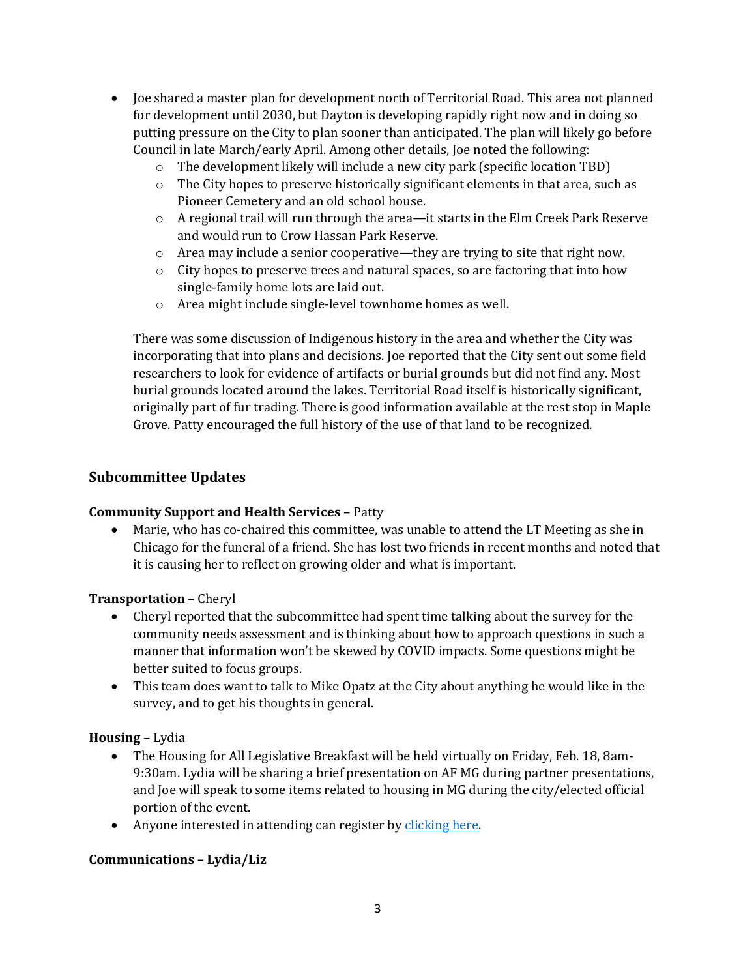- Joe shared a master plan for development north of Territorial Road. This area not planned for development until 2030, but Dayton is developing rapidly right now and in doing so putting pressure on the City to plan sooner than anticipated. The plan will likely go before Council in late March/early April. Among other details, Joe noted the following:
	- o The development likely will include a new city park (specific location TBD)
	- $\circ$  The City hopes to preserve historically significant elements in that area, such as Pioneer Cemetery and an old school house.
	- $\circ$  A regional trail will run through the area—it starts in the Elm Creek Park Reserve and would run to Crow Hassan Park Reserve.
	- o Area may include a senior cooperative—they are trying to site that right now.
	- $\circ$  City hopes to preserve trees and natural spaces, so are factoring that into how single-family home lots are laid out.
	- o Area might include single-level townhome homes as well.

There was some discussion of Indigenous history in the area and whether the City was incorporating that into plans and decisions. Joe reported that the City sent out some field researchers to look for evidence of artifacts or burial grounds but did not find any. Most burial grounds located around the lakes. Territorial Road itself is historically significant, originally part of fur trading. There is good information available at the rest stop in Maple Grove. Patty encouraged the full history of the use of that land to be recognized.

## **Subcommittee Updates**

#### **Community Support and Health Services –** Patty

• Marie, who has co-chaired this committee, was unable to attend the LT Meeting as she in Chicago for the funeral of a friend. She has lost two friends in recent months and noted that it is causing her to reflect on growing older and what is important.

#### **Transportation** – Cheryl

- Cheryl reported that the subcommittee had spent time talking about the survey for the community needs assessment and is thinking about how to approach questions in such a manner that information won't be skewed by COVID impacts. Some questions might be better suited to focus groups.
- This team does want to talk to Mike Opatz at the City about anything he would like in the survey, and to get his thoughts in general.

## **Housing** – Lydia

- The Housing for All Legislative Breakfast will be held virtually on Friday, Feb. 18, 8am-9:30am. Lydia will be sharing a brief presentation on AF MG during partner presentations, and Joe will speak to some items related to housing in MG during the city/elected official portion of the event.
- Anyone interested in attending can register by [clicking here.](https://us02web.zoom.us/meeting/register/tZ0qduysqDMvHNYN2TUxj0anLND36KZH5moc)

## **Communications – Lydia/Liz**